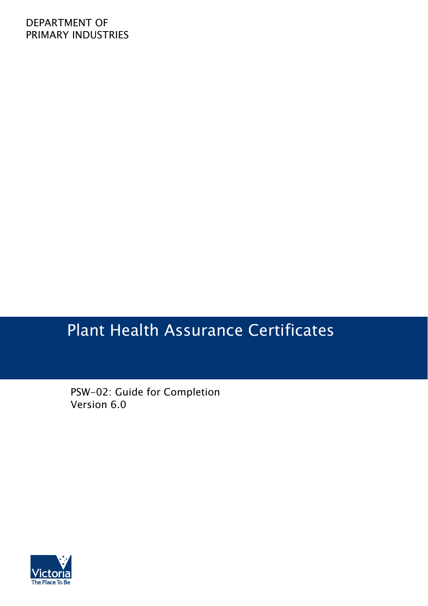### DEPARTMENT OF PRIMARY INDUSTRIES

# Plant Health Assurance Certificates

PSW-02: Guide for Completion Version 6.0

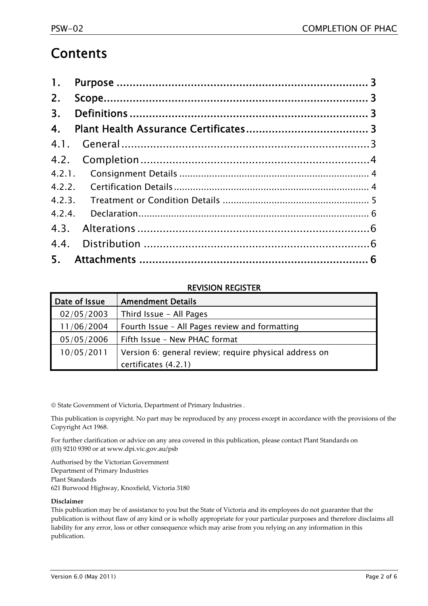### **Contents**

| 2. |  |
|----|--|
|    |  |
| 4. |  |
|    |  |
|    |  |
|    |  |
|    |  |
|    |  |
|    |  |
|    |  |
|    |  |
|    |  |

#### REVISION REGISTER

| Date of Issue | <b>Amendment Details</b>                               |
|---------------|--------------------------------------------------------|
| 02/05/2003    | Third Issue - All Pages                                |
| 11/06/2004    | Fourth Issue - All Pages review and formatting         |
| 05/05/2006    | Fifth Issue - New PHAC format                          |
| 10/05/2011    | Version 6: general review; require physical address on |
|               | certificates (4.2.1)                                   |

© State Government of Victoria, Department of Primary Industries .

This publication is copyright. No part may be reproduced by any process except in accordance with the provisions of the Copyright Act 1968.

For further clarification or advice on any area covered in this publication, please contact Plant Standards on (03) 9210 9390 or at www.dpi.vic.gov.au/psb

Authorised by the Victorian Government Department of Primary Industries Plant Standards 621 Burwood Highway, Knoxfield, Victoria 3180

#### **Disclaimer**

This publication may be of assistance to you but the State of Victoria and its employees do not guarantee that the publication is without flaw of any kind or is wholly appropriate for your particular purposes and therefore disclaims all liability for any error, loss or other consequence which may arise from you relying on any information in this publication.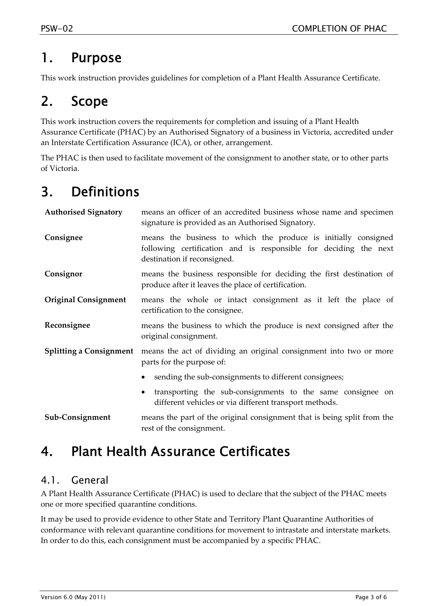### 1. Purpose

This work instruction provides guidelines for completion of a Plant Health Assurance Certificate.

# 2. Scope

This work instruction covers the requirements for completion and issuing of a Plant Health Assurance Certificate (PHAC) by an Authorised Signatory of a business in Victoria, accredited under an Interstate Certification Assurance (ICA), or other, arrangement.

The PHAC is then used to facilitate movement of the consignment to another state, or to other parts of Victoria.

# 3. Definitions

| <b>Authorised Signatory</b>    | means an officer of an accredited business whose name and specimen<br>signature is provided as an Authorised Signatory.                                           |  |  |
|--------------------------------|-------------------------------------------------------------------------------------------------------------------------------------------------------------------|--|--|
| Consignee                      | means the business to which the produce is initially consigned<br>following certification and is responsible for deciding the next<br>destination if reconsigned. |  |  |
| Consignor                      | means the business responsible for deciding the first destination of<br>produce after it leaves the place of certification.                                       |  |  |
| <b>Original Consignment</b>    | means the whole or intact consignment as it left the place of<br>certification to the consignee.                                                                  |  |  |
| Reconsignee                    | means the business to which the produce is next consigned after the<br>original consignment.                                                                      |  |  |
| <b>Splitting a Consignment</b> | means the act of dividing an original consignment into two or more<br>parts for the purpose of:                                                                   |  |  |
|                                | sending the sub-consignments to different consignees;                                                                                                             |  |  |
|                                | transporting the sub-consignments to the same consignee on<br>different vehicles or via different transport methods.                                              |  |  |
| Sub-Consignment                | means the part of the original consignment that is being split from the<br>rest of the consignment.                                                               |  |  |

## 4. Plant Health Assurance Certificates

### 4.1. General

A Plant Health Assurance Certificate (PHAC) is used to declare that the subject of the PHAC meets one or more specified quarantine conditions.

It may be used to provide evidence to other State and Territory Plant Quarantine Authorities of conformance with relevant quarantine conditions for movement to intrastate and interstate markets. In order to do this, each consignment must be accompanied by a specific PHAC.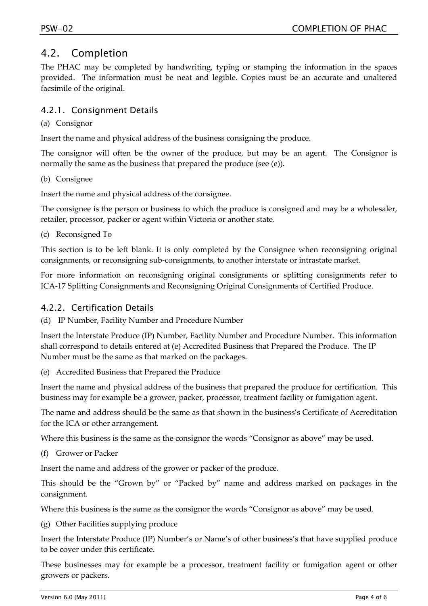#### 4.2. Completion

The PHAC may be completed by handwriting, typing or stamping the information in the spaces provided. The information must be neat and legible. Copies must be an accurate and unaltered facsimile of the original.

#### 4.2.1. Consignment Details

#### (a) Consignor

Insert the name and physical address of the business consigning the produce.

The consignor will often be the owner of the produce, but may be an agent. The Consignor is normally the same as the business that prepared the produce (see (e)).

(b) Consignee

Insert the name and physical address of the consignee.

The consignee is the person or business to which the produce is consigned and may be a wholesaler, retailer, processor, packer or agent within Victoria or another state.

(c) Reconsigned To

This section is to be left blank. It is only completed by the Consignee when reconsigning original consignments, or reconsigning sub‐consignments, to another interstate or intrastate market.

For more information on reconsigning original consignments or splitting consignments refer to ICA‐17 Splitting Consignments and Reconsigning Original Consignments of Certified Produce.

#### 4.2.2. Certification Details

(d) IP Number, Facility Number and Procedure Number

Insert the Interstate Produce (IP) Number, Facility Number and Procedure Number. This information shall correspond to details entered at (e) Accredited Business that Prepared the Produce. The IP Number must be the same as that marked on the packages.

(e) Accredited Business that Prepared the Produce

Insert the name and physical address of the business that prepared the produce for certification. This business may for example be a grower, packer, processor, treatment facility or fumigation agent.

The name and address should be the same as that shown in the business's Certificate of Accreditation for the ICA or other arrangement.

Where this business is the same as the consignor the words "Consignor as above" may be used.

(f) Grower or Packer

Insert the name and address of the grower or packer of the produce.

This should be the "Grown by" or "Packed by" name and address marked on packages in the consignment.

Where this business is the same as the consignor the words "Consignor as above" may be used.

(g) Other Facilities supplying produce

Insert the Interstate Produce (IP) Number's or Name's of other business's that have supplied produce to be cover under this certificate.

These businesses may for example be a processor, treatment facility or fumigation agent or other growers or packers.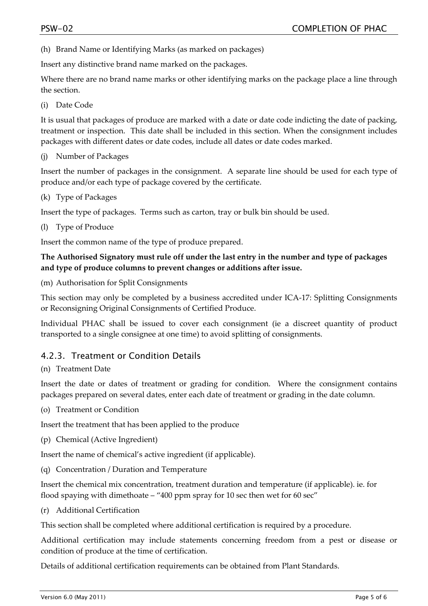(h) Brand Name or Identifying Marks (as marked on packages)

Insert any distinctive brand name marked on the packages.

Where there are no brand name marks or other identifying marks on the package place a line through the section.

(i) Date Code

It is usual that packages of produce are marked with a date or date code indicting the date of packing, treatment or inspection. This date shall be included in this section. When the consignment includes packages with different dates or date codes, include all dates or date codes marked.

(j) Number of Packages

Insert the number of packages in the consignment. A separate line should be used for each type of produce and/or each type of package covered by the certificate.

(k) Type of Packages

Insert the type of packages. Terms such as carton, tray or bulk bin should be used.

(l) Type of Produce

Insert the common name of the type of produce prepared.

#### **The Authorised Signatory must rule off under the last entry in the number and type of packages and type of produce columns to prevent changes or additions after issue.**

(m) Authorisation for Split Consignments

This section may only be completed by a business accredited under ICA‐17: Splitting Consignments or Reconsigning Original Consignments of Certified Produce.

Individual PHAC shall be issued to cover each consignment (ie a discreet quantity of product transported to a single consignee at one time) to avoid splitting of consignments.

#### 4.2.3. Treatment or Condition Details

#### (n) Treatment Date

Insert the date or dates of treatment or grading for condition. Where the consignment contains packages prepared on several dates, enter each date of treatment or grading in the date column.

(o) Treatment or Condition

Insert the treatment that has been applied to the produce

(p) Chemical (Active Ingredient)

Insert the name of chemical's active ingredient (if applicable).

(q) Concentration / Duration and Temperature

Insert the chemical mix concentration, treatment duration and temperature (if applicable). ie. for flood spaying with dimethoate – "400 ppm spray for 10 sec then wet for 60 sec"

(r) Additional Certification

This section shall be completed where additional certification is required by a procedure.

Additional certification may include statements concerning freedom from a pest or disease or condition of produce at the time of certification.

Details of additional certification requirements can be obtained from Plant Standards.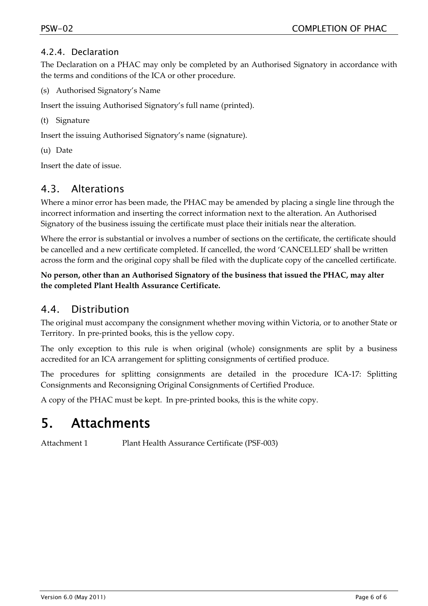#### 4.2.4. Declaration

The Declaration on a PHAC may only be completed by an Authorised Signatory in accordance with the terms and conditions of the ICA or other procedure.

(s) Authorised Signatory's Name

Insert the issuing Authorised Signatory's full name (printed).

(t) Signature

Insert the issuing Authorised Signatory's name (signature).

(u) Date

Insert the date of issue.

#### 4.3. Alterations

Where a minor error has been made, the PHAC may be amended by placing a single line through the incorrect information and inserting the correct information next to the alteration. An Authorised Signatory of the business issuing the certificate must place their initials near the alteration.

Where the error is substantial or involves a number of sections on the certificate, the certificate should be cancelled and a new certificate completed. If cancelled, the word 'CANCELLED' shall be written across the form and the original copy shall be filed with the duplicate copy of the cancelled certificate.

#### **No person, other than an Authorised Signatory of the business that issued the PHAC, may alter the completed Plant Health Assurance Certificate.**

### 4.4. Distribution

The original must accompany the consignment whether moving within Victoria, or to another State or Territory. In pre‐printed books, this is the yellow copy.

The only exception to this rule is when original (whole) consignments are split by a business accredited for an ICA arrangement for splitting consignments of certified produce.

The procedures for splitting consignments are detailed in the procedure ICA-17: Splitting Consignments and Reconsigning Original Consignments of Certified Produce.

A copy of the PHAC must be kept. In pre‐printed books, this is the white copy.

### 5. Attachments

Attachment 1 Plant Health Assurance Certificate (PSF‐003)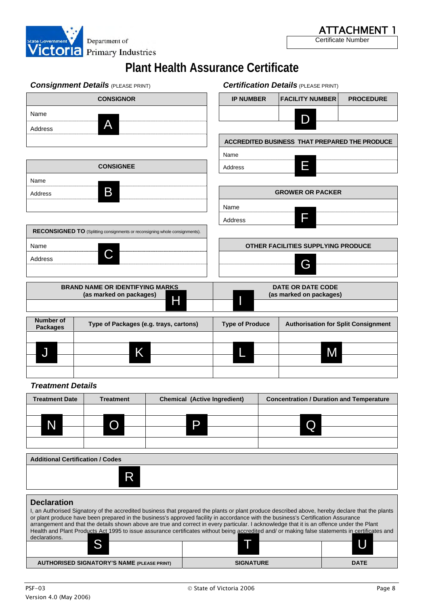

|                                         | <b>Consignment Details (PLEASE PRINT)</b>                                   |                                     |                        | <b>Certification Details (PLEASE PRINT)</b>     |                  |
|-----------------------------------------|-----------------------------------------------------------------------------|-------------------------------------|------------------------|-------------------------------------------------|------------------|
|                                         | <b>CONSIGNOR</b>                                                            |                                     | <b>IP NUMBER</b>       | <b>FACILITY NUMBER</b>                          | <b>PROCEDURE</b> |
| Name<br>Address                         | A                                                                           |                                     |                        | D                                               |                  |
|                                         |                                                                             |                                     |                        | ACCREDITED BUSINESS THAT PREPARED THE PRODUCE   |                  |
|                                         |                                                                             |                                     | Name                   |                                                 |                  |
|                                         | <b>CONSIGNEE</b>                                                            |                                     | Address                | E                                               |                  |
| Name                                    |                                                                             |                                     |                        |                                                 |                  |
| Address                                 | B                                                                           |                                     |                        | <b>GROWER OR PACKER</b>                         |                  |
|                                         |                                                                             |                                     | Name                   |                                                 |                  |
|                                         |                                                                             |                                     | Address                | F                                               |                  |
|                                         | RECONSIGNED TO (Splitting consignments or reconsigning whole consignments). |                                     |                        |                                                 |                  |
| Name                                    |                                                                             |                                     |                        | OTHER FACILITIES SUPPLYING PRODUCE              |                  |
| Address                                 |                                                                             |                                     |                        | G                                               |                  |
|                                         | <b>BRAND NAME OR IDENTIFYING MARKS</b>                                      |                                     |                        | <b>DATE OR DATE CODE</b>                        |                  |
|                                         | (as marked on packages)                                                     | Н                                   |                        | (as marked on packages)                         |                  |
| Number of<br><b>Packages</b>            | Type of Packages (e.g. trays, cartons)                                      |                                     | <b>Type of Produce</b> | <b>Authorisation for Split Consignment</b>      |                  |
|                                         |                                                                             |                                     |                        |                                                 |                  |
| J                                       | Κ                                                                           |                                     |                        | M                                               |                  |
|                                         |                                                                             |                                     |                        |                                                 |                  |
| <b>Treatment Details</b>                |                                                                             |                                     |                        |                                                 |                  |
| <b>Treatment Date</b>                   | <b>Treatment</b>                                                            | <b>Chemical (Active Ingredient)</b> |                        | <b>Concentration / Duration and Temperature</b> |                  |
|                                         |                                                                             |                                     |                        |                                                 |                  |
| N                                       | O                                                                           | P                                   |                        | Q                                               |                  |
|                                         |                                                                             |                                     |                        |                                                 |                  |
| <b>Additional Certification / Codes</b> |                                                                             |                                     |                        |                                                 |                  |
|                                         | R                                                                           |                                     |                        |                                                 |                  |
|                                         |                                                                             |                                     |                        |                                                 |                  |
|                                         |                                                                             |                                     |                        |                                                 |                  |

#### **Declaration**

| I, an Authorised Signatory of the accredited business that prepared the plants or plant produce described above, hereby declare that the plants<br>or plant produce have been prepared in the business's approved facility in accordance with the business's Certification Assurance<br>arrangement and that the details shown above are true and correct in every particular. I acknowledge that it is an offence under the Plant<br>Health and Plant Products Act 1995 to issue assurance certificates without being accredited and/ or making false statements in certificates and<br>declarations. |                  |             |  |  |
|--------------------------------------------------------------------------------------------------------------------------------------------------------------------------------------------------------------------------------------------------------------------------------------------------------------------------------------------------------------------------------------------------------------------------------------------------------------------------------------------------------------------------------------------------------------------------------------------------------|------------------|-------------|--|--|
|                                                                                                                                                                                                                                                                                                                                                                                                                                                                                                                                                                                                        |                  |             |  |  |
| <b>AUTHORISED SIGNATORY'S NAME (PLEASE PRINT)</b>                                                                                                                                                                                                                                                                                                                                                                                                                                                                                                                                                      | <b>SIGNATURE</b> | <b>DATE</b> |  |  |